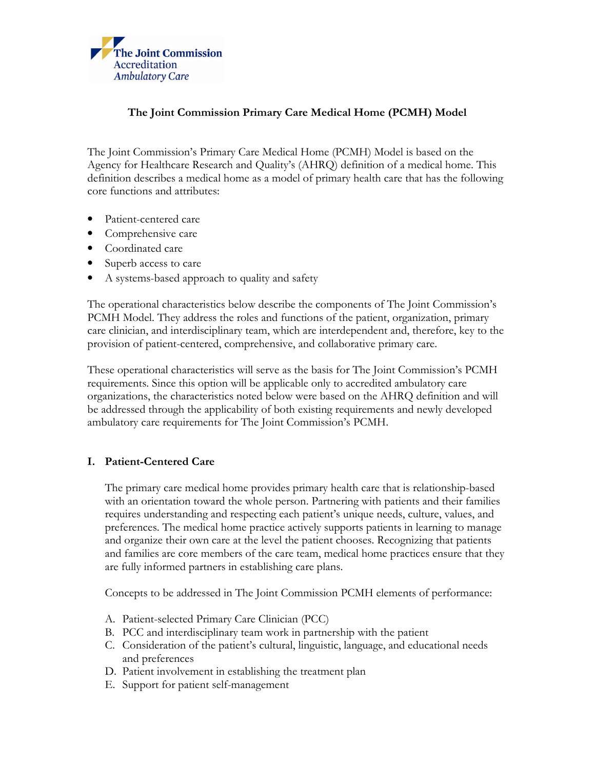

# The Joint Commission Primary Care Medical Home (PCMH) Model

The Joint Commission's Primary Care Medical Home (PCMH) Model is based on the Agency for Healthcare Research and Quality's (AHRQ) definition of a medical home. This definition describes a medical home as a model of primary health care that has the following core functions and attributes:

- Patient-centered care
- Comprehensive care
- Coordinated care
- Superb access to care
- A systems-based approach to quality and safety

The operational characteristics below describe the components of The Joint Commission's PCMH Model. They address the roles and functions of the patient, organization, primary care clinician, and interdisciplinary team, which are interdependent and, therefore, key to the provision of patient-centered, comprehensive, and collaborative primary care.

These operational characteristics will serve as the basis for The Joint Commission's PCMH requirements. Since this option will be applicable only to accredited ambulatory care organizations, the characteristics noted below were based on the AHRQ definition and will be addressed through the applicability of both existing requirements and newly developed ambulatory care requirements for The Joint Commission's PCMH.

### I. Patient-Centered Care

The primary care medical home provides primary health care that is relationship-based with an orientation toward the whole person. Partnering with patients and their families requires understanding and respecting each patient's unique needs, culture, values, and preferences. The medical home practice actively supports patients in learning to manage and organize their own care at the level the patient chooses. Recognizing that patients and families are core members of the care team, medical home practices ensure that they are fully informed partners in establishing care plans.

Concepts to be addressed in The Joint Commission PCMH elements of performance:

- A. Patient-selected Primary Care Clinician (PCC)
- B. PCC and interdisciplinary team work in partnership with the patient
- C. Consideration of the patient's cultural, linguistic, language, and educational needs and preferences
- D. Patient involvement in establishing the treatment plan
- E. Support for patient self-management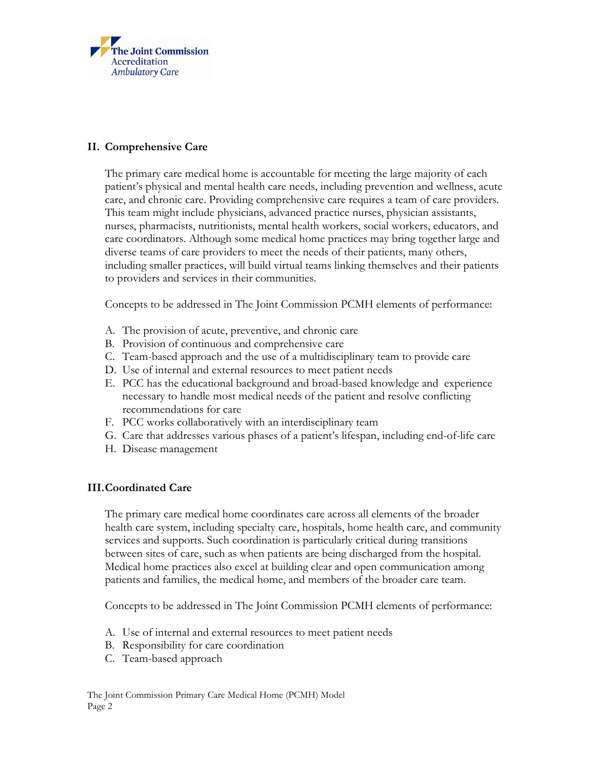

## II. Comprehensive Care

The primary care medical home is accountable for meeting the large majority of each patient's physical and mental health care needs, including prevention and wellness, acute care, and chronic care. Providing comprehensive care requires a team of care providers. This team might include physicians, advanced practice nurses, physician assistants, nurses, pharmacists, nutritionists, mental health workers, social workers, educators, and care coordinators. Although some medical home practices may bring together large and diverse teams of care providers to meet the needs of their patients, many others, including smaller practices, will build virtual teams linking themselves and their patients to providers and services in their communities.

Concepts to be addressed in The Joint Commission PCMH elements of performance:

- A. The provision of acute, preventive, and chronic care
- B. Provision of continuous and comprehensive care
- C. Team-based approach and the use of a multidisciplinary team to provide care
- D. Use of internal and external resources to meet patient needs
- E. PCC has the educational background and broad-based knowledge and experience necessary to handle most medical needs of the patient and resolve conflicting recommendations for care
- F. PCC works collaboratively with an interdisciplinary team
- G. Care that addresses various phases of a patient's lifespan, including end-of-life care
- H. Disease management

### III.Coordinated Care

The primary care medical home coordinates care across all elements of the broader health care system, including specialty care, hospitals, home health care, and community services and supports. Such coordination is particularly critical during transitions between sites of care, such as when patients are being discharged from the hospital. Medical home practices also excel at building clear and open communication among patients and families, the medical home, and members of the broader care team.

Concepts to be addressed in The Joint Commission PCMH elements of performance:

- A. Use of internal and external resources to meet patient needs
- B. Responsibility for care coordination
- C. Team-based approach